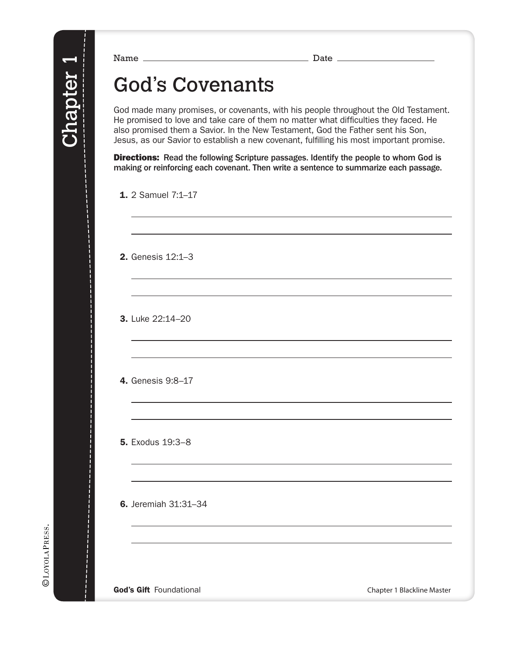### God's Covenants

God made many promises, or covenants, with his people throughout the Old Testament. He promised to love and take care of them no matter what difficulties they faced. He also promised them a Savior. In the New Testament, God the Father sent his Son, Jesus, as our Savior to establish a new covenant, fulfilling his most important promise.

**Directions:** Read the following Scripture passages. Identify the people to whom God is making or reinforcing each covenant. Then write a sentence to summarize each passage.

1. 2 Samuel 7:1–17

2. Genesis 12:1–3

3. Luke 22:14–20

4. Genesis 9:8–17

5. Exodus 19:3–8

6. Jeremiah 31:31–34

God's Gift Foundational Chapter 1 Blackline Master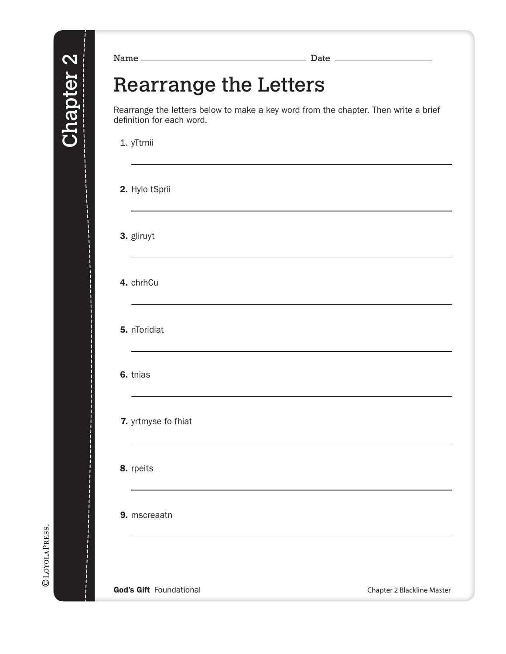#### Rearrange the Letters

Rearrange the letters below to make a key word from the chapter. Then write a brief definition for each word.

1. yTtrnii

2. Hylo tSprii

3. gliruyt

4. chrhCu

5. nToridiat

6. tnias

7. yrtmyse fo fhiat

8. rpeits

9. mscreaatn

©LOYOLAPRESS.

God's Gift Foundational **Chapter 2 Blackline Master**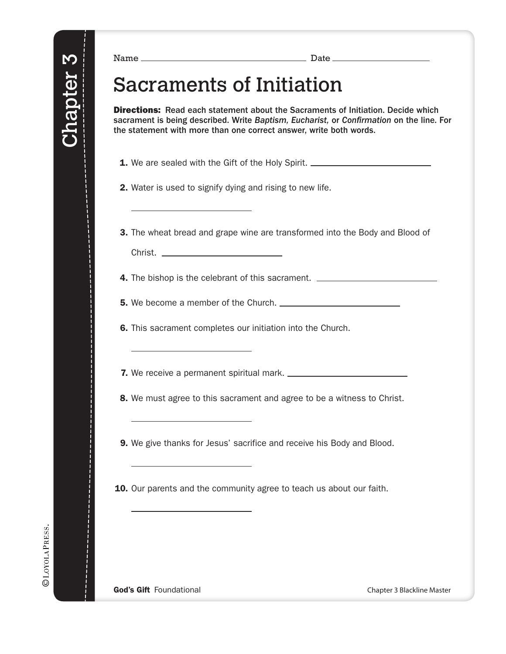#### Sacraments of Initiation

**Directions:** Read each statement about the Sacraments of Initiation. Decide which sacrament is being described. Write *Baptism, Eucharist,* or *Con*!*rmation* on the line. For the statement with more than one correct answer, write both words.

1. We are sealed with the Gift of the Holy Spirit.

2. Water is used to signify dying and rising to new life.

3. The wheat bread and grape wine are transformed into the Body and Blood of Christ.

**4.** The bishop is the celebrant of this sacrament. \_\_\_\_\_\_\_\_\_\_\_\_\_\_\_\_\_\_\_\_\_\_\_\_\_\_\_\_\_

5. We become a member of the Church.

6. This sacrament completes our initiation into the Church.

7. We receive a permanent spiritual mark.

**8.** We must agree to this sacrament and agree to be a witness to Christ.

**9.** We give thanks for Jesus' sacrifice and receive his Body and Blood.

**10.** Our parents and the community agree to teach us about our faith.

**©LOYOLAPRESS.** 

God's Gift Foundational Chapter 3 Blackline Master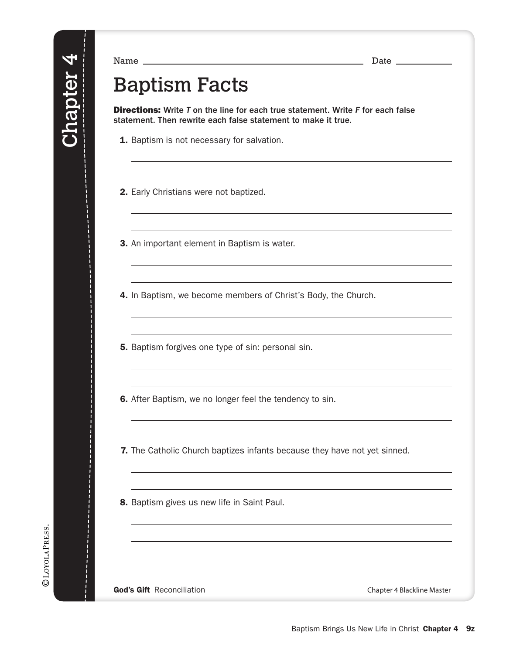©LOYOLAPRESS.

Name Date

## Baptism Facts

Directions: Write *T* on the line for each true statement. Write *F* for each false statement. Then rewrite each false statement to make it true.

**1.** Baptism is not necessary for salvation.

2. Early Christians were not baptized.

3. An important element in Baptism is water.

4. In Baptism, we become members of Christ's Body, the Church.

**5.** Baptism forgives one type of sin: personal sin.

**6.** After Baptism, we no longer feel the tendency to sin.

7. The Catholic Church baptizes infants because they have not yet sinned.

8. Baptism gives us new life in Saint Paul.

God's Gift Reconciliation Chapter 4 Blackline Master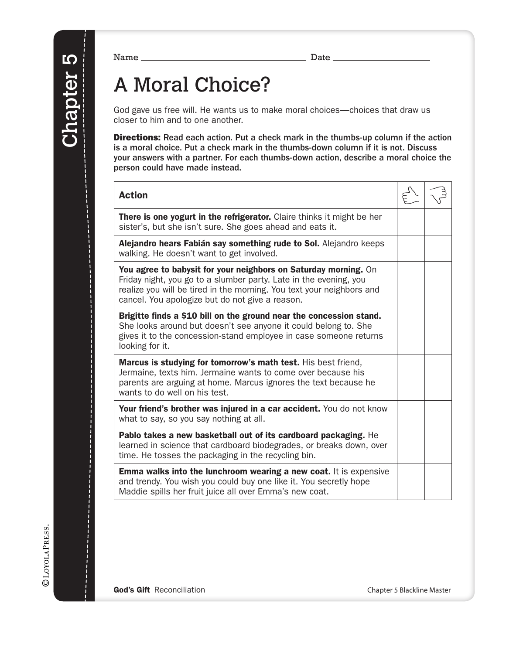# A Moral Choice?

God gave us free will. He wants us to make moral choices—choices that draw us closer to him and to one another.

Directions: Read each action. Put a check mark in the thumbs-up column if the action is a moral choice. Put a check mark in the thumbs-down column if it is not. Discuss your answers with a partner. For each thumbs-down action, describe a moral choice the person could have made instead.

| <b>Action</b>                                                                                                                                                                                                                                                    |  |
|------------------------------------------------------------------------------------------------------------------------------------------------------------------------------------------------------------------------------------------------------------------|--|
| There is one yogurt in the refrigerator. Claire thinks it might be her<br>sister's, but she isn't sure. She goes ahead and eats it.                                                                                                                              |  |
| Alejandro hears Fabián say something rude to Sol. Alejandro keeps<br>walking. He doesn't want to get involved.                                                                                                                                                   |  |
| You agree to babysit for your neighbors on Saturday morning. On<br>Friday night, you go to a slumber party. Late in the evening, you<br>realize you will be tired in the morning. You text your neighbors and<br>cancel. You apologize but do not give a reason. |  |
| Brigitte finds a \$10 bill on the ground near the concession stand.<br>She looks around but doesn't see anyone it could belong to. She<br>gives it to the concession-stand employee in case someone returns<br>looking for it.                                   |  |
| Marcus is studying for tomorrow's math test. His best friend,<br>Jermaine, texts him. Jermaine wants to come over because his<br>parents are arguing at home. Marcus ignores the text because he<br>wants to do well on his test.                                |  |
| Your friend's brother was injured in a car accident. You do not know<br>what to say, so you say nothing at all.                                                                                                                                                  |  |
| Pablo takes a new basketball out of its cardboard packaging. He<br>learned in science that cardboard biodegrades, or breaks down, over<br>time. He tosses the packaging in the recycling bin.                                                                    |  |
| <b>Emma walks into the lunchroom wearing a new coat.</b> It is expensive<br>and trendy. You wish you could buy one like it. You secretly hope<br>Maddie spills her fruit juice all over Emma's new coat.                                                         |  |

God's Gift Reconciliation Chapter 5 Blackline Master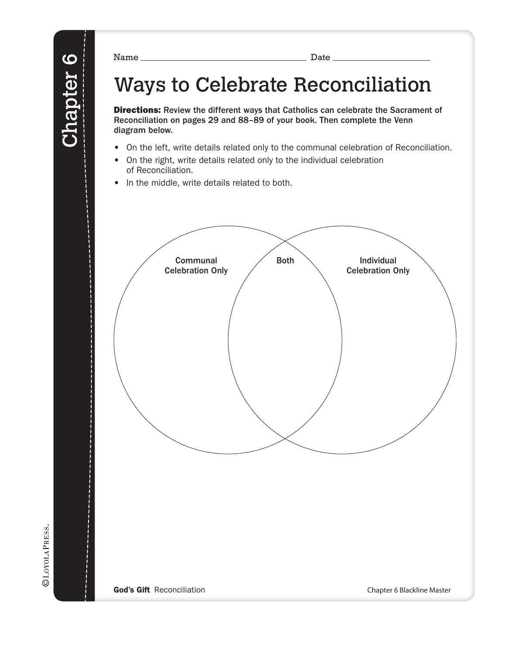# Ways to Celebrate Reconciliation

Directions: Review the different ways that Catholics can celebrate the Sacrament of Reconciliation on pages 29 and 88–89 of your book. Then complete the Venn diagram below.

- On the left, write details related only to the communal celebration of Reconciliation.
- On the right, write details related only to the individual celebration of Reconciliation.
- In the middle, write details related to both.

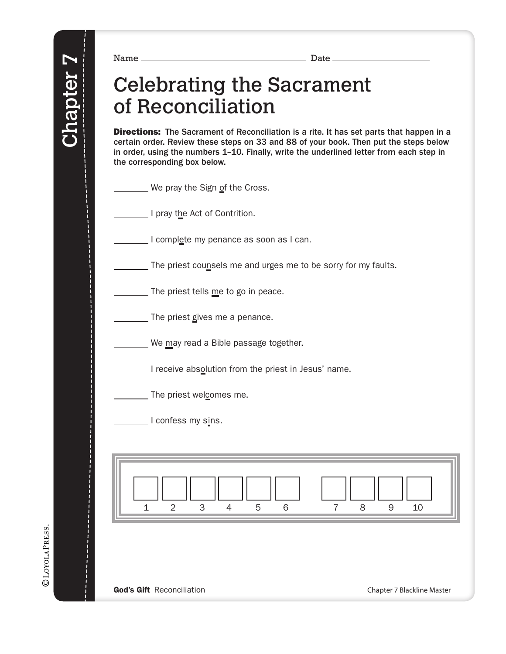### Celebrating the Sacrament of Reconciliation

**Directions:** The Sacrament of Reconciliation is a rite. It has set parts that happen in a certain order. Review these steps on 33 and 88 of your book. Then put the steps below in order, using the numbers 1–10. Finally, write the underlined letter from each step in the corresponding box below.

| We pray the Sign of the Cross. |  |  |
|--------------------------------|--|--|
|--------------------------------|--|--|

I pray the Act of Contrition.

I complete my penance as soon as I can.

The priest counsels me and urges me to be sorry for my faults.

The priest tells me to go in peace.

The priest gives me a penance.

We may read a Bible passage together.

I receive absolution from the priest in Jesus' name.

The priest welcomes me.

I confess my sins.

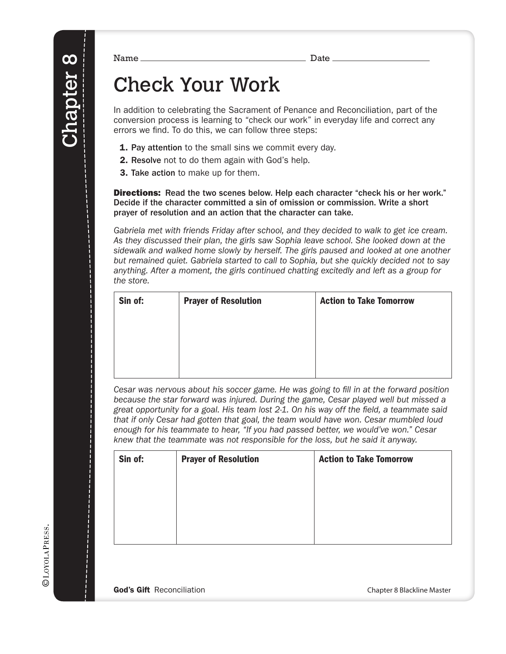# Check Your Work

In addition to celebrating the Sacrament of Penance and Reconciliation, part of the conversion process is learning to "check our work" in everyday life and correct any errors we find. To do this, we can follow three steps:

- **1. Pay attention** to the small sins we commit every day.
- 2. Resolve not to do them again with God's help.
- 3. Take action to make up for them.

**Directions:** Read the two scenes below. Help each character "check his or her work." Decide if the character committed a sin of omission or commission. Write a short prayer of resolution and an action that the character can take.

*Gabriela met with friends Friday after school, and they decided to walk to get ice cream. As they discussed their plan, the girls saw Sophia leave school. She looked down at the sidewalk and walked home slowly by herself. The girls paused and looked at one another but remained quiet. Gabriela started to call to Sophia, but she quickly decided not to say anything. After a moment, the girls continued chatting excitedly and left as a group for the store.*

| Sin of: | <b>Prayer of Resolution</b> | <b>Action to Take Tomorrow</b> |
|---------|-----------------------------|--------------------------------|
|         |                             |                                |
|         |                             |                                |
|         |                             |                                |
|         |                             |                                |

*Cesar was nervous about his soccer game. He was going to fill in at the forward position because the star forward was injured. During the game, Cesar played well but missed a great opportunity for a goal. His team lost 2-1. On his way off the field, a teammate said that if only Cesar had gotten that goal, the team would have won. Cesar mumbled loud enough for his teammate to hear, "If you had passed better, we would've won." Cesar knew that the teammate was not responsible for the loss, but he said it anyway.*

| Sin of: | <b>Prayer of Resolution</b> | <b>Action to Take Tomorrow</b> |
|---------|-----------------------------|--------------------------------|
|         |                             |                                |
|         |                             |                                |
|         |                             |                                |
|         |                             |                                |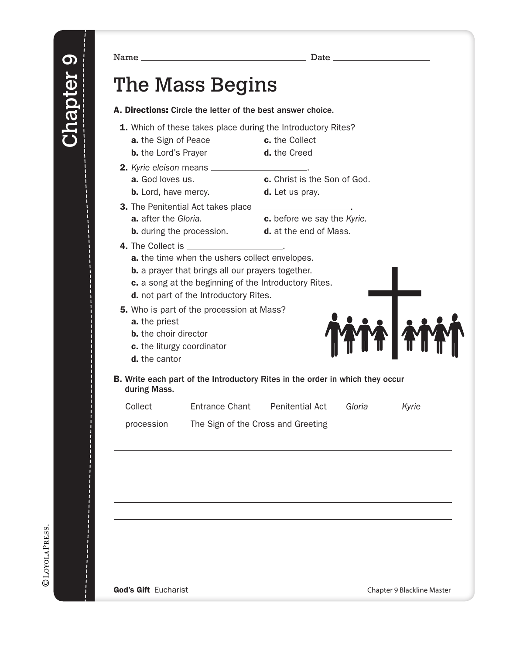Name Date The Mass Begins A. Directions: Circle the letter of the best answer choice. 1. Which of these takes place during the Introductory Rites? **a.** the Sign of Peace **c.** the Collect **b.** the Lord's Prayer **d.** the Creed **2.** Kyrie eleison means \_\_\_\_\_\_ **a.** God loves us. **c.** Christ is the Son of God. **b.** Lord, have mercy. **d.** Let us pray. **3.** The Penitential Act takes place  $\equiv$ **a.** after the *Gloria*. **c.** before we say the *Kyrie.* **b.** during the procession. **d.** at the end of Mass.

- 
- 
- 4. The Collect is \_\_\_
	- a. the time when the ushers collect envelopes.
	- **b.** a prayer that brings all our prayers together.
	- c. a song at the beginning of the Introductory Rites.
	- d. not part of the Introductory Rites.

**5.** Who is part of the procession at Mass?

- a. the priest
- **b.** the choir director
- c. the liturgy coordinator
- d. the cantor
- B. Write each part of the Introductory Rites in the order in which they occur during Mass.

| Collect<br><b>Entrance Chant</b><br><b>Penitential Act</b><br>Gloria |  |  |  |  | Kyrie |
|----------------------------------------------------------------------|--|--|--|--|-------|
|----------------------------------------------------------------------|--|--|--|--|-------|

procession The Sign of the Cross and Greeting

|  | God's Gift Eucharist |
|--|----------------------|
|--|----------------------|

Chapter 9 Blackline Master

**YF FY**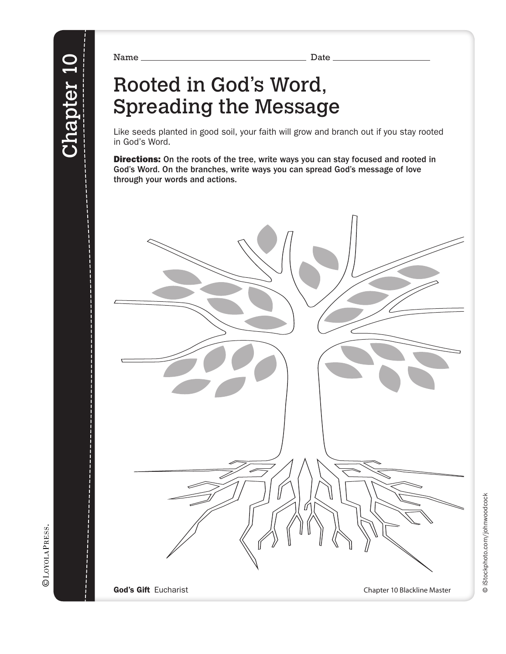# Rooted in God's Word, Spreading the Message

Like seeds planted in good soil, your faith will grow and branch out if you stay rooted in God's Word.

**Directions:** On the roots of the tree, write ways you can stay focused and rooted in God's Word. On the branches, write ways you can spread God's message of love through your words and actions.

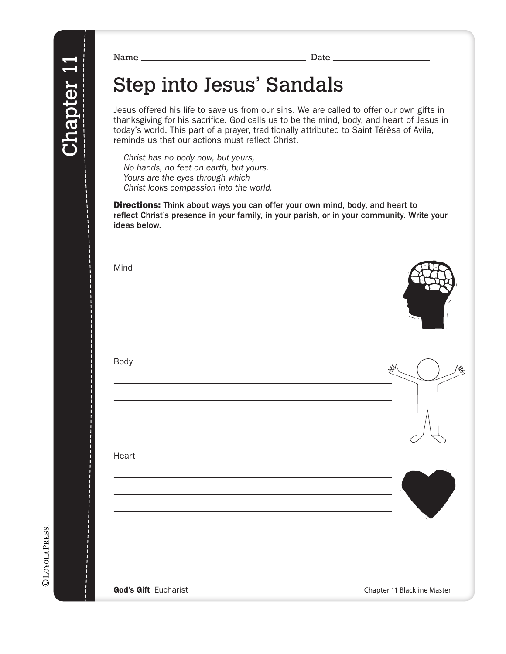## Step into Jesus' Sandals

Jesus offered his life to save us from our sins. We are called to offer our own gifts in thanksgiving for his sacrifice. God calls us to be the mind, body, and heart of Jesus in today's world. This part of a prayer, traditionally attributed to Saint Térèsa of Avila, reminds us that our actions must reflect Christ.

*Christ has no body now, but yours, No hands, no feet on earth, but yours. Yours are the eyes through which Christ looks compassion into the world.*

Directions: Think about ways you can offer your own mind, body, and heart to reflect Christ's presence in your family, in your parish, or in your community. Write your ideas below.

| Mind                        |                             |
|-----------------------------|-----------------------------|
|                             |                             |
| Body                        | M                           |
|                             |                             |
| Heart                       |                             |
|                             |                             |
|                             |                             |
| <b>God's Gift Eucharist</b> | Chapter 11 Blackline Master |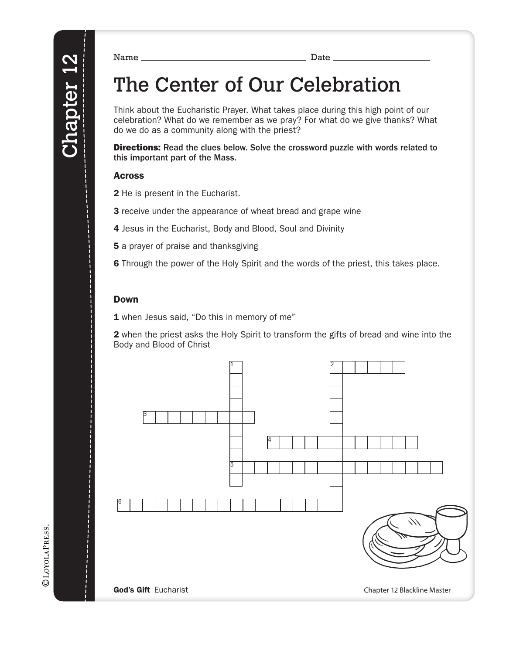# The Center of Our Celebration

Think about the Eucharistic Prayer. What takes place during this high point of our celebration? What do we remember as we pray? For what do we give thanks? What do we do as a community along with the priest?

Directions: Read the clues below. Solve the crossword puzzle with words related to this important part of the Mass.

#### Across

2 He is present in the Eucharist.

**3** receive under the appearance of wheat bread and grape wine

4 Jesus in the Eucharist, Body and Blood, Soul and Divinity

**5** a prayer of praise and thanksgiving

6 Through the power of the Holy Spirit and the words of the priest, this takes place.

#### Down

1 when Jesus said, "Do this in memory of me"

2 when the priest asks the Holy Spirit to transform the gifts of bread and wine into the Body and Blood of Christ

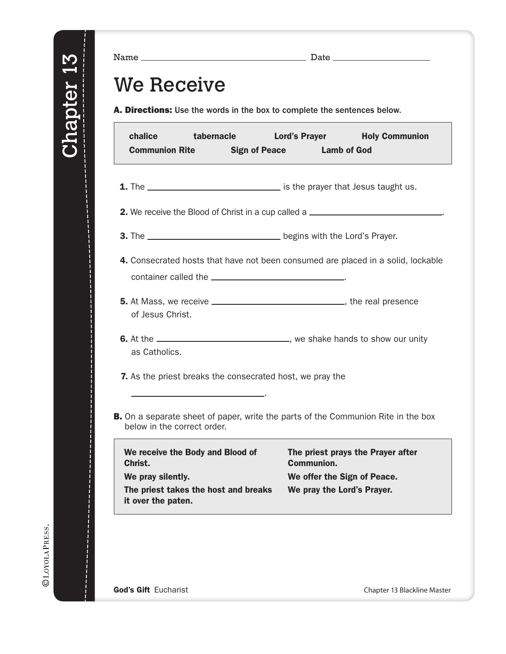Name Date \_

### We Receive

A. Directions: Use the words in the box to complete the sentences below.

| chalice<br>tabernacle<br><b>Communion Rite</b><br><b>Sign of Peace</b>                                                  | Lord's Prayer<br><b>Holy Communion</b><br><b>Lamb of God</b>                          |  |  |
|-------------------------------------------------------------------------------------------------------------------------|---------------------------------------------------------------------------------------|--|--|
| 2. We receive the Blood of Christ in a cup called a _____________________________                                       |                                                                                       |  |  |
|                                                                                                                         |                                                                                       |  |  |
| 4. Consecrated hosts that have not been consumed are placed in a solid, lockable                                        |                                                                                       |  |  |
| of Jesus Christ.                                                                                                        |                                                                                       |  |  |
| as Catholics.                                                                                                           |                                                                                       |  |  |
| <b>7.</b> As the priest breaks the consecrated host, we pray the                                                        |                                                                                       |  |  |
| <b>B.</b> On a separate sheet of paper, write the parts of the Communion Rite in the box<br>below in the correct order. |                                                                                       |  |  |
| We receive the Body and Blood of<br>Christ.<br>We pray silently.                                                        | The priest prays the Prayer after<br><b>Communion.</b><br>We offer the Sign of Peace. |  |  |
| The priest takes the host and breaks<br>it over the paten.                                                              | We pray the Lord's Prayer.                                                            |  |  |
|                                                                                                                         |                                                                                       |  |  |

God's Gift Eucharist Chapter 13 Blackline Master